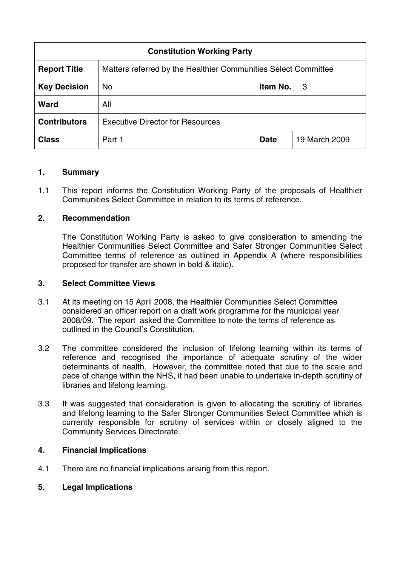| <b>Constitution Working Party</b> |                                                                |             |               |
|-----------------------------------|----------------------------------------------------------------|-------------|---------------|
| <b>Report Title</b>               | Matters referred by the Healthier Communities Select Committee |             |               |
| <b>Key Decision</b>               | <b>No</b>                                                      | Item No.    | 3             |
| <b>Ward</b>                       | All                                                            |             |               |
| <b>Contributors</b>               | <b>Executive Director for Resources</b>                        |             |               |
| <b>Class</b>                      | Part 1                                                         | <b>Date</b> | 19 March 2009 |

### **1. Summary**

1.1 This report informs the Constitution Working Party of the proposals of Healthier Communities Select Committee in relation to its terms of reference.

## **2. Recommendation**

The Constitution Working Party is asked to give consideration to amending the Healthier Communities Select Committee and Safer Stronger Communities Select Committee terms of reference as outlined in Appendix A (where responsibilities proposed for transfer are shown in bold & italic).

### **3. Select Committee Views**

- 3.1 At its meeting on 15 April 2008, the Healthier Communities Select Committee considered an officer report on a draft work programme for the municipal year 2008/09. The report asked the Committee to note the terms of reference as outlined in the Council's Constitution.
- 3.2 The committee considered the inclusion of lifelong learning within its terms of reference and recognised the importance of adequate scrutiny of the wider determinants of health. However, the committee noted that due to the scale and pace of change within the NHS, it had been unable to undertake in-depth scrutiny of libraries and lifelong learning.
- 3.3 It was suggested that consideration is given to allocating the scrutiny of libraries and lifelong learning to the Safer Stronger Communities Select Committee which is currently responsible for scrutiny of services within or closely aligned to the Community Services Directorate.

### **4. Financial Implications**

4.1 There are no financial implications arising from this report.

## **5. Legal Implications**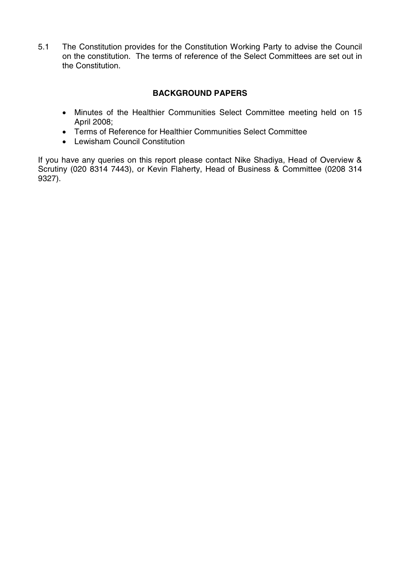5.1 The Constitution provides for the Constitution Working Party to advise the Council on the constitution. The terms of reference of the Select Committees are set out in the Constitution.

# **BACKGROUND PAPERS**

- Minutes of the Healthier Communities Select Committee meeting held on 15 April 2008;
- Terms of Reference for Healthier Communities Select Committee
- Lewisham Council Constitution

If you have any queries on this report please contact Nike Shadiya, Head of Overview & Scrutiny (020 8314 7443), or Kevin Flaherty, Head of Business & Committee (0208 314 9327).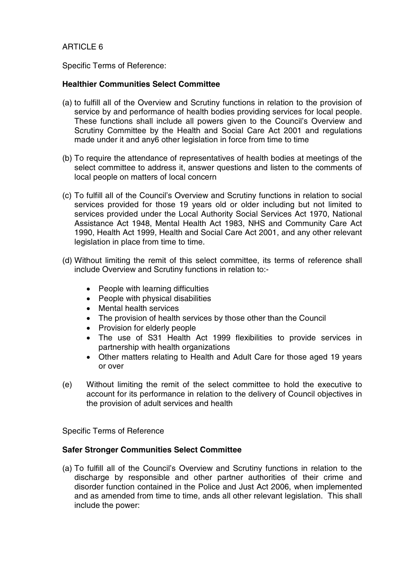## ARTICLE 6

Specific Terms of Reference:

## **Healthier Communities Select Committee**

- (a) to fulfill all of the Overview and Scrutiny functions in relation to the provision of service by and performance of health bodies providing services for local people. These functions shall include all powers given to the Council's Overview and Scrutiny Committee by the Health and Social Care Act 2001 and regulations made under it and any6 other legislation in force from time to time
- (b) To require the attendance of representatives of health bodies at meetings of the select committee to address it, answer questions and listen to the comments of local people on matters of local concern
- (c) To fulfill all of the Council's Overview and Scrutiny functions in relation to social services provided for those 19 years old or older including but not limited to services provided under the Local Authority Social Services Act 1970, National Assistance Act 1948, Mental Health Act 1983, NHS and Community Care Act 1990, Health Act 1999, Health and Social Care Act 2001, and any other relevant legislation in place from time to time.
- (d) Without limiting the remit of this select committee, its terms of reference shall include Overview and Scrutiny functions in relation to:-
	- People with learning difficulties
	- People with physical disabilities
	- Mental health services
	- The provision of health services by those other than the Council
	- Provision for elderly people
	- The use of S31 Health Act 1999 flexibilities to provide services in partnership with health organizations
	- Other matters relating to Health and Adult Care for those aged 19 years or over
- (e) Without limiting the remit of the select committee to hold the executive to account for its performance in relation to the delivery of Council objectives in the provision of adult services and health

Specific Terms of Reference

### **Safer Stronger Communities Select Committee**

(a) To fulfill all of the Council's Overview and Scrutiny functions in relation to the discharge by responsible and other partner authorities of their crime and disorder function contained in the Police and Just Act 2006, when implemented and as amended from time to time, ands all other relevant legislation. This shall include the power: